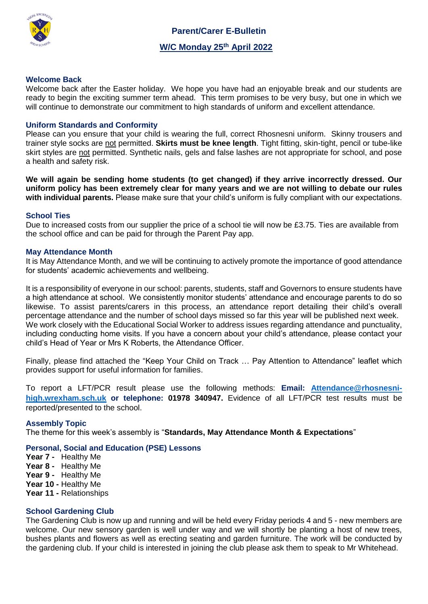

 **Parent/Carer E-Bulletin W/C Monday 25th April 2022**

## **Welcome Back**

Welcome back after the Easter holiday. We hope you have had an enjoyable break and our students are ready to begin the exciting summer term ahead. This term promises to be very busy, but one in which we will continue to demonstrate our commitment to high standards of uniform and excellent attendance.

## **Uniform Standards and Conformity**

Please can you ensure that your child is wearing the full, correct Rhosnesni uniform. Skinny trousers and trainer style socks are not permitted. **Skirts must be knee length**. Tight fitting, skin-tight, pencil or tube-like skirt styles are not permitted. Synthetic nails, gels and false lashes are not appropriate for school, and pose a health and safety risk.

**We will again be sending home students (to get changed) if they arrive incorrectly dressed. Our uniform policy has been extremely clear for many years and we are not willing to debate our rules with individual parents.** Please make sure that your child's uniform is fully compliant with our expectations.

#### **School Ties**

Due to increased costs from our supplier the price of a school tie will now be £3.75. Ties are available from the school office and can be paid for through the Parent Pay app.

#### **May Attendance Month**

It is May Attendance Month, and we will be continuing to actively promote the importance of good attendance for students' academic achievements and wellbeing.

It is a responsibility of everyone in our school: parents, students, staff and Governors to ensure students have a high attendance at school. We consistently monitor students' attendance and encourage parents to do so likewise. To assist parents/carers in this process, an attendance report detailing their child's overall percentage attendance and the number of school days missed so far this year will be published next week. We work closely with the Educational Social Worker to address issues regarding attendance and punctuality, including conducting home visits. If you have a concern about your child's attendance, please contact your child's Head of Year or Mrs K Roberts, the Attendance Officer.

Finally, please find attached the "Keep Your Child on Track … Pay Attention to Attendance" leaflet which provides support for useful information for families.

To report a LFT/PCR result please use the following methods: **Email: [Attendance@rhosnesni](mailto:Attendance@rhosnesni-high.wrexham.sch.uk)[high.wrexham.sch.uk](mailto:Attendance@rhosnesni-high.wrexham.sch.uk) or telephone: 01978 340947.** Evidence of all LFT/PCR test results must be reported/presented to the school.

# **Assembly Topic**

The theme for this week's assembly is "**Standards, May Attendance Month & Expectations**"

# **Personal, Social and Education (PSE) Lessons**

- **Year 7** Healthy Me
- **Year 8** Healthy Me
- **Year 9** Healthy Me
- **Year 10 -** Healthy Me
- **Year 11 -** Relationships

#### **School Gardening Club**

The Gardening Club is now up and running and will be held every Friday periods 4 and 5 - new members are welcome. Our new sensory garden is well under way and we will shortly be planting a host of new trees, bushes plants and flowers as well as erecting seating and garden furniture. The work will be conducted by the gardening club. If your child is interested in joining the club please ask them to speak to Mr Whitehead.